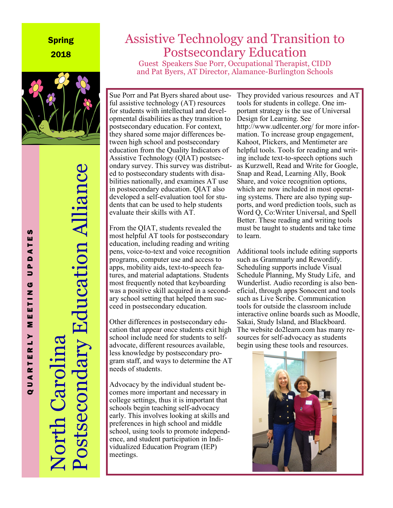#### Spring 2018



# Postsecondary Education Alliance Postsecondary Education Alliance North Carolina orth Caro

# Assistive Technology and Transition to Postsecondary Education

Guest Speakers Sue Porr, Occupational Therapist, CIDD and Pat Byers, AT Director, Alamance-Burlington Schools

Sue Porr and Pat Byers shared about useful assistive technology (AT) resources for students with intellectual and developmental disabilities as they transition to postsecondary education. For context, they shared some major differences between high school and postsecondary education from the Quality Indicators of Assistive Technology (QIAT) postsecondary survey. This survey was distributed to postsecondary students with disabilities nationally, and examines AT use in postsecondary education. QIAT also developed a self-evaluation tool for students that can be used to help students evaluate their skills with AT.

From the QIAT, students revealed the most helpful AT tools for postsecondary education, including reading and writing pens, voice-to-text and voice recognition programs, computer use and access to apps, mobility aids, text-to-speech features, and material adaptations. Students most frequently noted that keyboarding was a positive skill acquired in a secondary school setting that helped them succeed in postsecondary education.

Other differences in postsecondary education that appear once students exit high school include need for students to selfadvocate, different resources available, less knowledge by postsecondary program staff, and ways to determine the AT needs of students.

Advocacy by the individual student becomes more important and necessary in college settings, thus it is important that schools begin teaching self-advocacy early. This involves looking at skills and preferences in high school and middle school, using tools to promote independence, and student participation in Individualized Education Program (IEP) meetings.

They provided various resources and AT tools for students in college. One important strategy is the use of Universal Design for Learning. See http://www.udlcenter.org/ for more information. To increase group engagement, Kahoot, Plickers, and Mentimeter are helpful tools. Tools for reading and writing include text-to-speech options such as Kurzwell, Read and Write for Google, Snap and Read, Learning Ally, Book Share, and voice recognition options, which are now included in most operating systems. There are also typing supports, and word prediction tools, such as Word Q, Co:Writer Universal, and Spell Better. These reading and writing tools must be taught to students and take time to learn.

Additional tools include editing supports such as Grammarly and Rewordify. Scheduling supports include Visual Schedule Planning, My Study Life, and Wunderlist. Audio recording is also beneficial, through apps Sonocent and tools such as Live Scribe. Communication tools for outside the classroom include interactive online boards such as Moodle, Sakai, Study Island, and Blackboard. The website do2learn.com has many resources for self-advocacy as students begin using these tools and resources.



Q U A R T E R L Y M E E T I N G U P D A T E S **S** ш ⋖  $\blacksquare$ Δ.  $\Rightarrow$ G Z Ξ ш ш Σ  $\mathbf{r}$  $\sim$ RTEI QUAI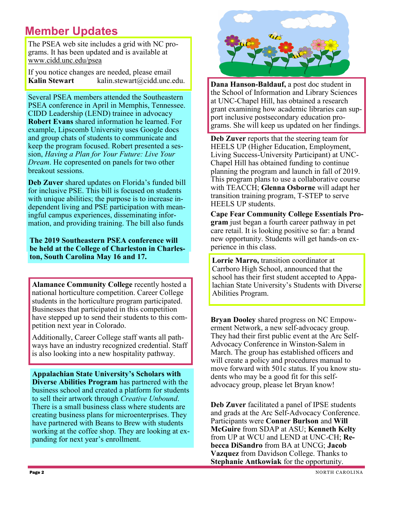# **Member Updates**

The PSEA web site includes a grid with NC programs. It has been updated and is available at www.cidd.unc.edu/psea

If you notice changes are needed, please email **Kalin Stewart** *kalin.stewart@cidd.unc.edu.* 

Several PSEA members attended the Southeastern PSEA conference in April in Memphis, Tennessee. CIDD Leadership (LEND) trainee in advocacy **Robert Evans** shared information he learned. For example, Lipscomb University uses Google docs and group chats of students to communicate and keep the program focused. Robert presented a session, *Having a Plan for Your Future: Live Your Dream*. He copresented on panels for two other breakout sessions.

**Deb Zuver** shared updates on Florida's funded bill for inclusive PSE. This bill is focused on students with unique abilities; the purpose is to increase independent living and PSE participation with meaningful campus experiences, disseminating information, and providing training. The bill also funds

**The 2019 Southeastern PSEA conference will be held at the College of Charleston in Charleston, South Carolina May 16 and 17. Lorrie Marro,** *transition coordinator at* 

**Alamance Community College** recently hosted a national horticulture competition. Career College students in the horticulture program participated. Businesses that participated in this competition have stepped up to send their students to this competition next year in Colorado.

Additionally, Career College staff wants all pathways have an industry recognized credential. Staff is also looking into a new hospitality pathway.

**Appalachian State University's Scholars with Diverse Abilities Program** has partnered with the business school and created a platform for students to sell their artwork through *Creative Unbound*. There is a small business class where students are creating business plans for microenterprises. They have partnered with Beans to Brew with students working at the coffee shop. They are looking at expanding for next year's enrollment.



**Dana Hanson-Baldauf,** a post doc student in the School of Information and Library Sciences at UNC-Chapel Hill, has obtained a research grant examining how academic libraries can support inclusive postsecondary education programs. She will keep us updated on her findings.

**Deb Zuver** reports that the steering team for HEELS UP (Higher Education, Employment, Living Success-University Participant) at UNC-Chapel Hill has obtained funding to continue planning the program and launch in fall of 2019. This program plans to use a collaborative course with TEACCH; **Glenna Osborne** will adapt her transition training program, T-STEP to serve HEELS UP students.

**Cape Fear Community College Essentials Program** just began a fourth career pathway in pet care retail. It is looking positive so far: a brand new opportunity. Students will get hands-on experience in this class.

Carrboro High School, announced that the school has their first student accepted to Appalachian State University's Students with Diverse Abilities Program.

**Bryan Dooley** shared progress on NC Empowerment Network, a new self-advocacy group. They had their first public event at the Arc Self-Advocacy Conference in Winston-Salem in March. The group has established officers and will create a policy and procedures manual to move forward with 501c status. If you know students who may be a good fit for this selfadvocacy group, please let Bryan know!

**Deb Zuver** facilitated a panel of IPSE students and grads at the Arc Self-Advocacy Conference. Participants were **Conner Burlson** and **Will McGuire** from SDAP at ASU; **Kenneth Kelty**  from UP at WCU and LEND at UNC-CH; **Rebecca DiSandro** from BA at UNCG; **Jacob Vazquez** from Davidson College. Thanks to **Stephanie Antkowiak** for the opportunity.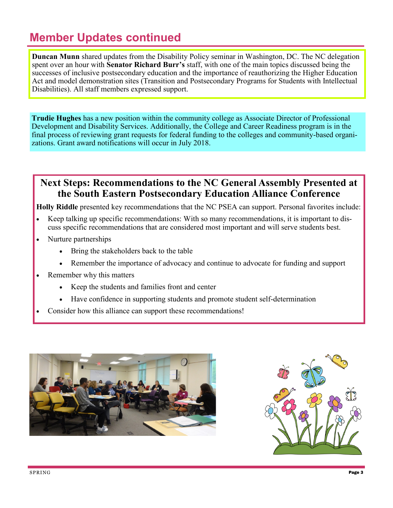# **Member Updates continued**

**Duncan Munn** shared updates from the Disability Policy seminar in Washington, DC. The NC delegation spent over an hour with **Senator Richard Burr's** staff, with one of the main topics discussed being the successes of inclusive postsecondary education and the importance of reauthorizing the Higher Education Act and model demonstration sites (Transition and Postsecondary Programs for Students with Intellectual Disabilities). All staff members expressed support.

**Trudie Hughes** has a new position within the community college as Associate Director of Professional Development and Disability Services. Additionally, the College and Career Readiness program is in the final process of reviewing grant requests for federal funding to the colleges and community-based organizations. Grant award notifications will occur in July 2018.

#### **Next Steps: Recommendations to the NC General Assembly Presented at the South Eastern Postsecondary Education Alliance Conference**

**Holly Riddle** presented key recommendations that the NC PSEA can support. Personal favorites include:

- Keep talking up specific recommendations: With so many recommendations, it is important to discuss specific recommendations that are considered most important and will serve students best.
- Nurture partnerships
	- Bring the stakeholders back to the table
	- Remember the importance of advocacy and continue to advocate for funding and support
- Remember why this matters
	- Keep the students and families front and center
	- Have confidence in supporting students and promote student self-determination
- Consider how this alliance can support these recommendations!